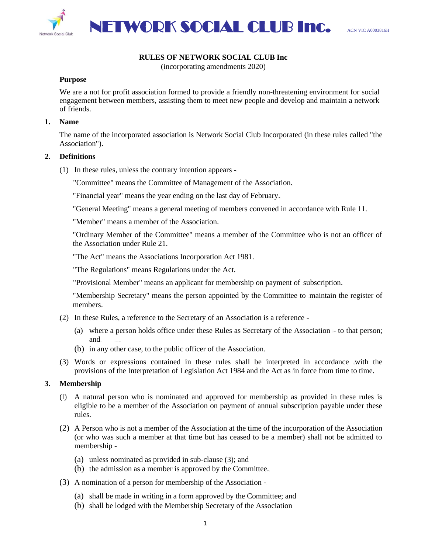

## **RULES OF NETWORK SOCIAL CLUB Inc**

(incorporating amendments 2020)

#### **Purpose**

We are a not for profit association formed to provide a friendly non-threatening environment for social engagement between members, assisting them to meet new people and develop and maintain a network of friends.

#### **1. Name**

The name of the incorporated association is Network Social Club Incorporated (in these rules called "the Association").

#### **2. Definitions**

- (1) In these rules, unless the contrary intention appears
	- "Committee" means the Committee of Management of the Association.

"Financial year" means the year ending on the last day of February.

"General Meeting" means a general meeting of members convened in accordance with Rule 11.

"Member" means a member of the Association.

"Ordinary Member of the Committee" means a member of the Committee who is not an officer of the Association under Rule 21.

"The Act" means the Associations Incorporation Act 1981.

"The Regulations" means Regulations under the Act.

"Provisional Member" means an applicant for membership on payment of subscription.

"Membership Secretary" means the person appointed by the Committee to maintain the register of members.

- (2) In these Rules, a reference to the Secretary of an Association is a reference
	- (a) where a person holds office under these Rules as Secretary of the Association to that person; and
	- (b) in any other case, to the public officer of the Association.
- (3) Words or expressions contained in these rules shall be interpreted in accordance with the provisions of the Interpretation of Legislation Act 1984 and the Act as in force from time to time.

## **3. Membership**

- (l) A natural person who is nominated and approved for membership as provided in these rules is eligible to be a member of the Association on payment of annual subscription payable under these rules.
- (2) A Person who is not a member of the Association at the time of the incorporation of the Association (or who was such a member at that time but has ceased to be a member) shall not be admitted to membership -
	- (a) unless nominated as provided in sub-clause (3); and
	- (b) the admission as a member is approved by the Committee.
- (3) A nomination of a person for membership of the Association
	- (a) shall be made in writing in a form approved by the Committee; and
	- (b) shall be lodged with the Membership Secretary of the Association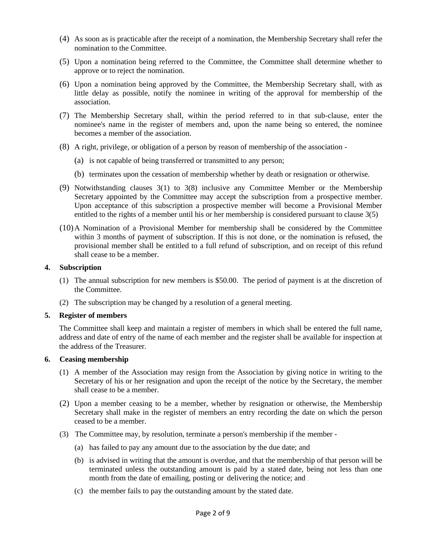- (4) As soon as is practicable after the receipt of a nomination, the Membership Secretary shall refer the nomination to the Committee.
- (5) Upon a nomination being referred to the Committee, the Committee shall determine whether to approve or to reject the nomination.
- (6) Upon a nomination being approved by the Committee, the Membership Secretary shall, with as little delay as possible, notify the nominee in writing of the approval for membership of the association.
- (7) The Membership Secretary shall, within the period referred to in that sub-clause, enter the nominee's name in the register of members and, upon the name being so entered, the nominee becomes a member of the association.
- (8) A right, privilege, or obligation of a person by reason of membership of the association
	- (a) is not capable of being transferred or transmitted to any person;
	- (b) terminates upon the cessation of membership whether by death or resignation or otherwise.
- (9) Notwithstanding clauses 3(1) to 3(8) inclusive any Committee Member or the Membership Secretary appointed by the Committee may accept the subscription from a prospective member. Upon acceptance of this subscription a prospective member will become a Provisional Member entitled to the rights of a member until his or her membership is considered pursuant to clause 3(5)
- (10)A Nomination of a Provisional Member for membership shall be considered by the Committee within 3 months of payment of subscription. If this is not done, or the nomination is refused, the provisional member shall be entitled to a full refund of subscription, and on receipt of this refund shall cease to be a member.

### **4. Subscription**

- (1) The annual subscription for new members is \$50.00. The period of payment is at the discretion of the Committee.
- (2) The subscription may be changed by a resolution of a general meeting.

#### **5. Register of members**

The Committee shall keep and maintain a register of members in which shall be entered the full name, address and date of entry of the name of each member and the register shall be available for inspection at the address of the Treasurer.

## **6. Ceasing membership**

- (1) A member of the Association may resign from the Association by giving notice in writing to the Secretary of his or her resignation and upon the receipt of the notice by the Secretary, the member shall cease to be a member.
- (2) Upon a member ceasing to be a member, whether by resignation or otherwise, the Membership Secretary shall make in the register of members an entry recording the date on which the person ceased to be a member.
- (3) The Committee may, by resolution, terminate a person's membership if the member
	- (a) has failed to pay any amount due to the association by the due date; and
	- (b) is advised in writing that the amount is overdue, and that the membership of that person will be terminated unless the outstanding amount is paid by a stated date, being not less than one month from the date of emailing, posting or delivering the notice; and
	- (c) the member fails to pay the outstanding amount by the stated date.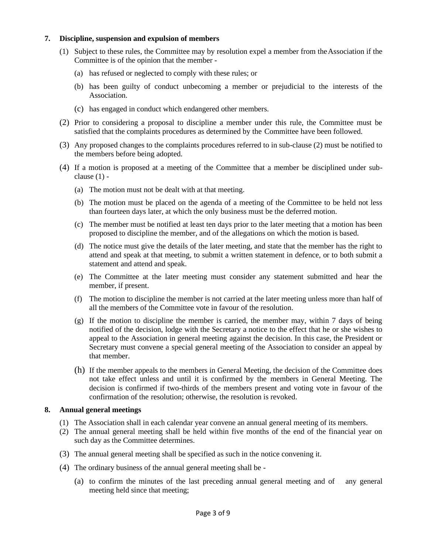## **7. Discipline, suspension and expulsion of members**

- (1) Subject to these rules, the Committee may by resolution expel a member from theAssociation if the Committee is of the opinion that the member -
	- (a) has refused or neglected to comply with these rules; or
	- (b) has been guilty of conduct unbecoming a member or prejudicial to the interests of the Association.
	- (c) has engaged in conduct which endangered other members.
- (2) Prior to considering a proposal to discipline a member under this rule, the Committee must be satisfied that the complaints procedures as determined by the Committee have been followed.
- (3) Any proposed changes to the complaints procedures referred to in sub-clause (2) must be notified to the members before being adopted.
- (4) If a motion is proposed at a meeting of the Committee that a member be disciplined under subclause  $(1)$  -
	- (a) The motion must not be dealt with at that meeting.
	- (b) The motion must be placed on the agenda of a meeting of the Committee to be held not less than fourteen days later, at which the only business must be the deferred motion.
	- (c) The member must be notified at least ten days prior to the later meeting that a motion has been proposed to discipline the member, and of the allegations on which the motion is based.
	- (d) The notice must give the details of the later meeting, and state that the member has the right to attend and speak at that meeting, to submit a written statement in defence, or to both submit a statement and attend and speak.
	- (e) The Committee at the later meeting must consider any statement submitted and hear the member, if present.
	- (f) The motion to discipline the member is not carried at the later meeting unless more than half of all the members of the Committee vote in favour of the resolution.
	- $(g)$  If the motion to discipline the member is carried, the member may, within 7 days of being notified of the decision, lodge with the Secretary a notice to the effect that he or she wishes to appeal to the Association in general meeting against the decision. In this case, the President or Secretary must convene a special general meeting of the Association to consider an appeal by that member.
	- (h) If the member appeals to the members in General Meeting, the decision of the Committee does not take effect unless and until it is confirmed by the members in General Meeting. The decision is confirmed if two-thirds of the members present and voting vote in favour of the confirmation of the resolution; otherwise, the resolution is revoked.

# **8. Annual general meetings**

- (1) The Association shall in each calendar year convene an annual general meeting of its members.
- (2) The annual general meeting shall be held within five months of the end of the financial year on such day as the Committee determines.
- (3) The annual general meeting shall be specified as such in the notice convening it.
- (4) The ordinary business of the annual general meeting shall be
	- (a) to confirm the minutes of the last preceding annual general meeting and of  $\equiv$  any general meeting held since that meeting;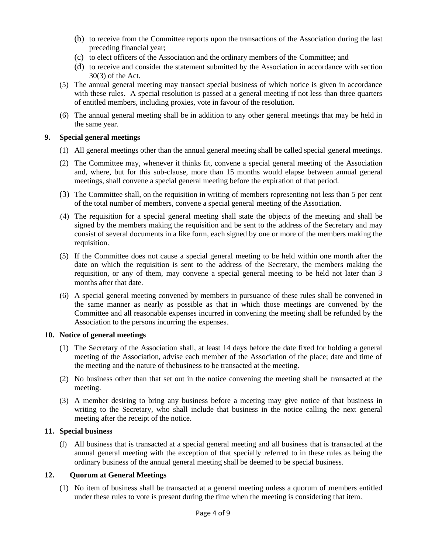- (b) to receive from the Committee reports upon the transactions of the Association during the last preceding financial year;
- (c) to elect officers of the Association and the ordinary members of the Committee; and
- (d) to receive and consider the statement submitted by the Association in accordance with section 30(3) of the Act.
- (5) The annual general meeting may transact special business of which notice is given in accordance with these rules. A special resolution is passed at a general meeting if not less than three quarters of entitled members, including proxies, vote in favour of the resolution.
- (6) The annual general meeting shall be in addition to any other general meetings that may be held in the same year.

## **9. Special general meetings**

- (1) All general meetings other than the annual general meeting shall be called special general meetings.
- (2) The Committee may, whenever it thinks fit, convene a special general meeting of the Association and, where, but for this sub-clause, more than 15 months would elapse between annual general meetings, shall convene a special general meeting before the expiration of that period.
- (3) The Committee shall, on the requisition in writing of members representing not less than 5 per cent of the total number of members, convene a special general meeting of the Association.
- (4) The requisition for a special general meeting shall state the objects of the meeting and shall be signed by the members making the requisition and be sent to the address of the Secretary and may consist of several documents in a like form, each signed by one or more of the members making the requisition.
- (5) If the Committee does not cause a special general meeting to be held within one month after the date on which the requisition is sent to the address of the Secretary, the members making the requisition, or any of them, may convene a special general meeting to be held not later than 3 months after that date.
- (6) A special general meeting convened by members in pursuance of these rules shall be convened in the same manner as nearly as possible as that in which those meetings are convened by the Committee and all reasonable expenses incurred in convening the meeting shall be refunded by the Association to the persons incurring the expenses.

#### **10. Notice of general meetings**

- (1) The Secretary of the Association shall, at least 14 days before the date fixed for holding a general meeting of the Association, advise each member of the Association of the place; date and time of the meeting and the nature of thebusiness to be transacted at the meeting.
- (2) No business other than that set out in the notice convening the meeting shall be transacted at the meeting.
- (3) A member desiring to bring any business before a meeting may give notice of that business in writing to the Secretary, who shall include that business in the notice calling the next general meeting after the receipt of the notice.

# **11. Special business**

(l) All business that is transacted at a special general meeting and all business that is transacted at the annual general meeting with the exception of that specially referred to in these rules as being the ordinary business of the annual general meeting shall be deemed to be special business.

## **12. Quorum at General Meetings**

(1) No item of business shall be transacted at a general meeting unless a quorum of members entitled under these rules to vote is present during the time when the meeting is considering that item.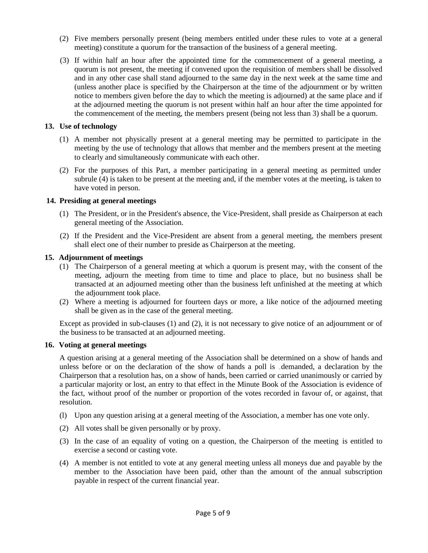- (2) Five members personally present (being members entitled under these rules to vote at a general meeting) constitute a quorum for the transaction of the business of a general meeting.
- (3) If within half an hour after the appointed time for the commencement of a general meeting, a quorum is not present, the meeting if convened upon the requisition of members shall be dissolved and in any other case shall stand adjourned to the same day in the next week at the same time and (unless another place is specified by the Chairperson at the time of the adjournment or by written notice to members given before the day to which the meeting is adjourned) at the same place and if at the adjourned meeting the quorum is not present within half an hour after the time appointed for the commencement of the meeting, the members present (being not less than 3) shall be a quorum.

# **13. Use of technology**

- (1) A member not physically present at a general meeting may be permitted to participate in the meeting by the use of technology that allows that member and the members present at the meeting to clearly and simultaneously communicate with each other.
- (2) For the purposes of this Part, a member participating in a general meeting as permitted under subrule (4) is taken to be present at the meeting and, if the member votes at the meeting, is taken to have voted in person.

# **14. Presiding at general meetings**

- (1) The President, or in the President's absence, the Vice-President, shall preside as Chairperson at each general meeting of the Association.
- (2) If the President and the Vice-President are absent from a general meeting, the members present shall elect one of their number to preside as Chairperson at the meeting.

# **15. Adjournment of meetings**

- (1) The Chairperson of a general meeting at which a quorum is present may, with the consent of the meeting, adjourn the meeting from time to time and place to place, but no business shall be transacted at an adjourned meeting other than the business left unfinished at the meeting at which the adjournment took place.
- (2) Where a meeting is adjourned for fourteen days or more, a like notice of the adjourned meeting shall be given as in the case of the general meeting.

Except as provided in sub-clauses (1) and (2), it is not necessary to give notice of an adjournment or of the business to be transacted at an adjourned meeting.

## **16. Voting at general meetings**

A question arising at a general meeting of the Association shall be determined on a show of hands and unless before or on the declaration of the show of hands a poll is demanded, a declaration by the Chairperson that a resolution has, on a show of hands, been carried or carried unanimously or carried by a particular majority or lost, an entry to that effect in the Minute Book of the Association is evidence of the fact, without proof of the number or proportion of the votes recorded in favour of, or against, that resolution.

- (l) Upon any question arising at a general meeting of the Association, a member has one vote only.
- (2) All votes shall be given personally or by proxy.
- (3) In the case of an equality of voting on a question, the Chairperson of the meeting is entitled to exercise a second or casting vote.
- (4) A member is not entitled to vote at any general meeting unless all moneys due and payable by the member to the Association have been paid, other than the amount of the annual subscription payable in respect of the current financial year.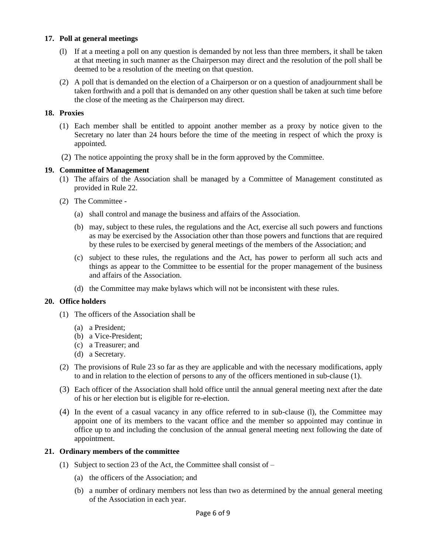# **17. Poll at general meetings**

- (l) If at a meeting a poll on any question is demanded by not less than three members, it shall be taken at that meeting in such manner as the Chairperson may direct and the resolution of the poll shall be deemed to be a resolution of the meeting on that question.
- (2) A poll that is demanded on the election of a Chairperson or on a question of anadjournment shall be taken forthwith and a poll that is demanded on any other question shall be taken at such time before the close of the meeting as the Chairperson may direct.

## **18. Proxies**

- (1) Each member shall be entitled to appoint another member as a proxy by notice given to the Secretary no later than 24 hours before the time of the meeting in respect of which the proxy is appointed.
- (2) The notice appointing the proxy shall be in the form approved by the Committee.

# **19. Committee of Management**

- (1) The affairs of the Association shall be managed by a Committee of Management constituted as provided in Rule 22.
- (2) The Committee
	- (a) shall control and manage the business and affairs of the Association.
	- (b) may, subject to these rules, the regulations and the Act, exercise all such powers and functions as may be exercised by the Association other than those powers and functions that are required by these rules to be exercised by general meetings of the members of the Association; and
	- (c) subject to these rules, the regulations and the Act, has power to perform all such acts and things as appear to the Committee to be essential for the proper management of the business and affairs of the Association.
	- (d) the Committee may make bylaws which will not be inconsistent with these rules.

## **20. Office holders**

- (1) The officers of the Association shall be
	- (a) a President;
	- (b) a Vice-President;
	- (c) a Treasurer; and
	- (d) a Secretary.
- (2) The provisions of Rule 23 so far as they are applicable and with the necessary modifications, apply to and in relation to the election of persons to any of the officers mentioned in sub-clause (1).
- (3) Each officer of the Association shall hold office until the annual general meeting next after the date of his or her election but is eligible for re-election.
- (4) In the event of a casual vacancy in any office referred to in sub-clause (l), the Committee may appoint one of its members to the vacant office and the member so appointed may continue in office up to and including the conclusion of the annual general meeting next following the date of appointment.

## **21. Ordinary members of the committee**

- (1) Subject to section 23 of the Act, the Committee shall consist of  $-$ 
	- (a) the officers of the Association; and
	- (b) a number of ordinary members not less than two as determined by the annual general meeting of the Association in each year.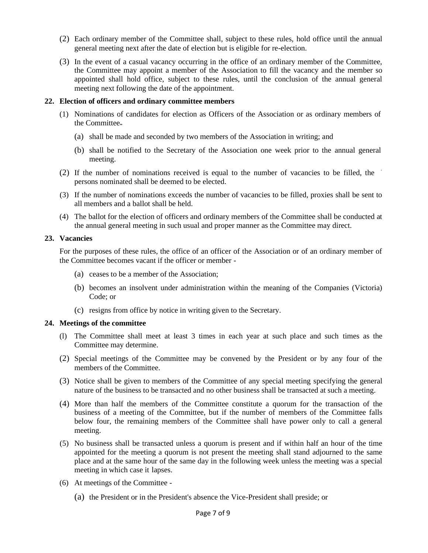- (2) Each ordinary member of the Committee shall, subject to these rules, hold office until the annual general meeting next after the date of election but is eligible for re-election.
- (3) In the event of a casual vacancy occurring in the office of an ordinary member of the Committee, the Committee may appoint a member of the Association to fill the vacancy and the member so appointed shall hold office, subject to these rules, until the conclusion of the annual general meeting next following the date of the appointment.

### **22. Election of officers and ordinary committee members**

- (1) Nominations of candidates for election as Officers of the Association or as ordinary members of the Committee
	- (a) shall be made and seconded by two members of the Association in writing; and
	- (b) shall be notified to the Secretary of the Association one week prior to the annual general meeting.
- (2) If the number of nominations received is equal to the number of vacancies to be filled, the persons nominated shall be deemed to be elected.
- (3) If the number of nominations exceeds the number of vacancies to be filled, proxies shall be sent to all members and a ballot shall be held.
- (4) The ballot for the election of officers and ordinary members of the Committee shall be conducted at the annual general meeting in such usual and proper manner as the Committee may direct.

### **23. Vacancies**

For the purposes of these rules, the office of an officer of the Association or of an ordinary member of the Committee becomes vacant if the officer or member -

- (a) ceases to be a member of the Association;
- (b) becomes an insolvent under administration within the meaning of the Companies (Victoria) Code; or
- (c) resigns from office by notice in writing given to the Secretary.

## **24. Meetings of the committee**

- (l) The Committee shall meet at least 3 times in each year at such place and such times as the Committee may determine.
- (2) Special meetings of the Committee may be convened by the President or by any four of the members of the Committee.
- (3) Notice shall be given to members of the Committee of any special meeting specifying the general nature of the business to be transacted and no other business shall be transacted at such a meeting.
- (4) More than half the members of the Committee constitute a quorum for the transaction of the business of a meeting of the Committee, but if the number of members of the Committee falls below four, the remaining members of the Committee shall have power only to call a general meeting.
- (5) No business shall be transacted unless a quorum is present and if within half an hour of the time appointed for the meeting a quorum is not present the meeting shall stand adjourned to the same place and at the same hour of the same day in the following week unless the meeting was a special meeting in which case it lapses.
- (6) At meetings of the Committee
	- (a) the President or in the President's absence the Vice-President shall preside; or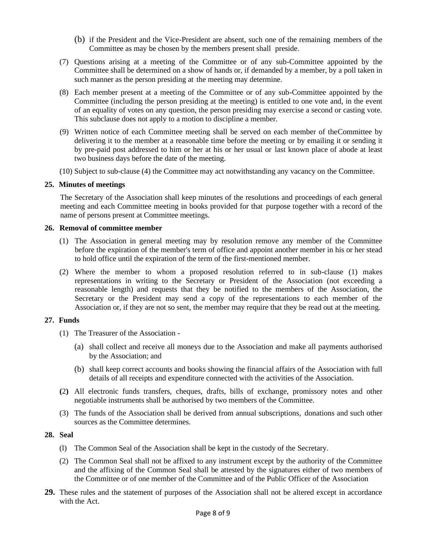- (b) if the President and the Vice-President are absent, such one of the remaining members of the Committee as may be chosen by the members present shall preside.
- (7) Questions arising at a meeting of the Committee or of any sub-Committee appointed by the Committee shall be determined on a show of hands or, if demanded by a member, by a poll taken in such manner as the person presiding at the meeting may determine.
- (8) Each member present at a meeting of the Committee or of any sub-Committee appointed by the Committee (including the person presiding at the meeting) is entitled to one vote and, in the event of an equality of votes on any question, the person presiding may exercise a second or casting vote. This subclause does not apply to a motion to discipline a member.
- (9) Written notice of each Committee meeting shall be served on each member of theCommittee by delivering it to the member at a reasonable time before the meeting or by emailing it or sending it by pre-paid post addressed to him or her at his or her usual or last known place of abode at least two business days before the date of the meeting.
- (10) Subject to sub-clause (4) the Committee may act notwithstanding any vacancy on the Committee.

## **25. Minutes of meetings**

The Secretary of the Association shall keep minutes of the resolutions and proceedings of each general meeting and each Committee meeting in books provided for that purpose together with a record of the name of persons present at Committee meetings.

## **26. Removal of committee member**

- (1) The Association in general meeting may by resolution remove any member of the Committee before the expiration of the member's term of office and appoint another member in his or her stead to hold office until the expiration of the term of the first-mentioned member.
- (2) Where the member to whom a proposed resolution referred to in sub-clause (1) makes representations in writing to the Secretary or President of the Association (not exceeding a reasonable length) and requests that they be notified to the members of the Association, the Secretary or the President may send a copy of the representations to each member of the Association or, if they are not so sent, the member may require that they be read out at the meeting.

## **27. Funds**

- (1) The Treasurer of the Association
	- (a) shall collect and receive all moneys due to the Association and make all payments authorised by the Association; and
	- (b) shall keep correct accounts and books showing the financial affairs of the Association with full details of all receipts and expenditure connected with the activities of the Association.
- **(**2**)** All electronic funds transfers, cheques, drafts, bills of exchange, promissory notes and other negotiable instruments shall be authorised by two members of the Committee.
- (3) The funds of the Association shall be derived from annual subscriptions, donations and such other sources as the Committee determines.

## **28. Seal**

- (l) The Common Seal of the Association shall be kept in the custody of the Secretary.
- (2) The Common Seal shall not be affixed to any instrument except by the authority of the Committee and the affixing of the Common Seal shall be attested by the signatures either of two members of the Committee or of one member of the Committee and of the Public Officer of the Association
- **29.** These rules and the statement of purposes of the Association shall not be altered except in accordance with the Act.